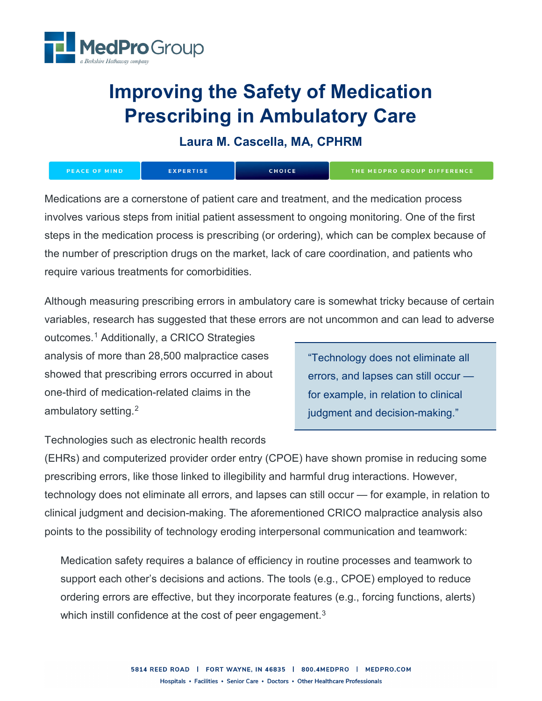

# **Improving the Safety of Medication Prescribing in Ambulatory Care**

### **Laura M. Cascella, MA, CPHRM**

| PEACE OF MIND \ | <b>EXPERTISE</b> | <b>CHOICE</b> | THE MEDPRO GROUP DIFFERENCE |
|-----------------|------------------|---------------|-----------------------------|
|-----------------|------------------|---------------|-----------------------------|

Medications are a cornerstone of patient care and treatment, and the medication process involves various steps from initial patient assessment to ongoing monitoring. One of the first steps in the medication process is prescribing (or ordering), which can be complex because of the number of prescription drugs on the market, lack of care coordination, and patients who require various treatments for comorbidities.

Although measuring prescribing errors in ambulatory care is somewhat tricky because of certain variables, research has suggested that these errors are not uncommon and can lead to adverse

outcomes.[1](#page-8-0) Additionally, a CRICO Strategies analysis of more than 28,500 malpractice cases showed that prescribing errors occurred in about one-third of medication-related claims in the ambulatory setting.[2](#page-8-1)

"Technology does not eliminate all errors, and lapses can still occur for example, in relation to clinical judgment and decision-making."

Technologies such as electronic health records

(EHRs) and computerized provider order entry (CPOE) have shown promise in reducing some prescribing errors, like those linked to illegibility and harmful drug interactions. However, technology does not eliminate all errors, and lapses can still occur — for example, in relation to clinical judgment and decision-making. The aforementioned CRICO malpractice analysis also points to the possibility of technology eroding interpersonal communication and teamwork:

Medication safety requires a balance of efficiency in routine processes and teamwork to support each other's decisions and actions. The tools (e.g., CPOE) employed to reduce ordering errors are effective, but they incorporate features (e.g., forcing functions, alerts) which instill confidence at the cost of peer engagement.<sup>[3](#page-8-2)</sup>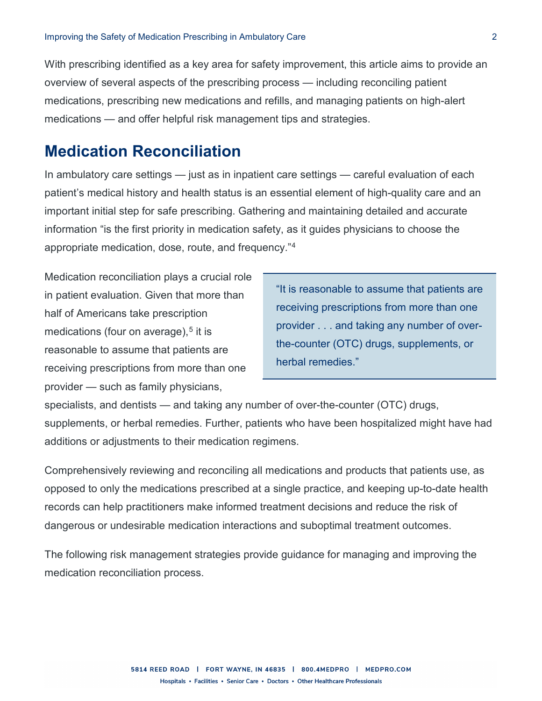With prescribing identified as a key area for safety improvement, this article aims to provide an overview of several aspects of the prescribing process — including reconciling patient medications, prescribing new medications and refills, and managing patients on high-alert medications — and offer helpful risk management tips and strategies.

## **Medication Reconciliation**

In ambulatory care settings — just as in inpatient care settings — careful evaluation of each patient's medical history and health status is an essential element of high-quality care and an important initial step for safe prescribing. Gathering and maintaining detailed and accurate information "is the first priority in medication safety, as it guides physicians to choose the appropriate medication, dose, route, and frequency."[4](#page-8-3)

Medication reconciliation plays a crucial role in patient evaluation. Given that more than half of Americans take prescription medications (four on average),  $5$  it is reasonable to assume that patients are receiving prescriptions from more than one provider — such as family physicians,

"It is reasonable to assume that patients are receiving prescriptions from more than one provider . . . and taking any number of overthe-counter (OTC) drugs, supplements, or herbal remedies."

specialists, and dentists — and taking any number of over-the-counter (OTC) drugs, supplements, or herbal remedies. Further, patients who have been hospitalized might have had additions or adjustments to their medication regimens.

Comprehensively reviewing and reconciling all medications and products that patients use, as opposed to only the medications prescribed at a single practice, and keeping up-to-date health records can help practitioners make informed treatment decisions and reduce the risk of dangerous or undesirable medication interactions and suboptimal treatment outcomes.

The following risk management strategies provide guidance for managing and improving the medication reconciliation process.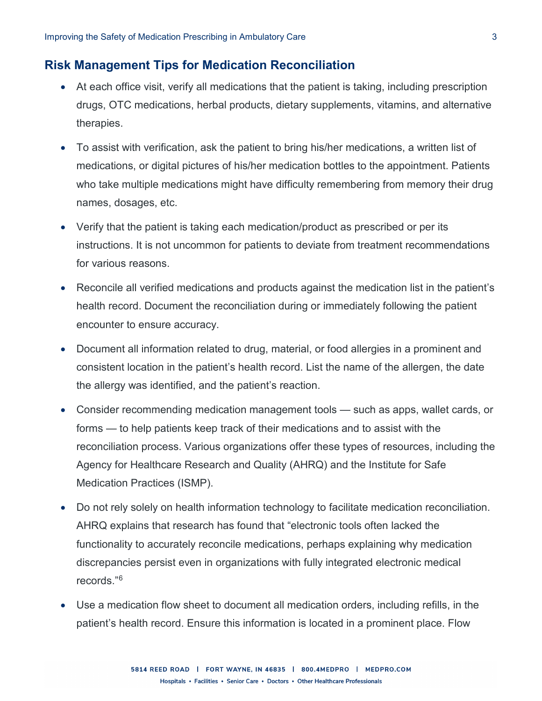### **Risk Management Tips for Medication Reconciliation**

- At each office visit, verify all medications that the patient is taking, including prescription drugs, OTC medications, herbal products, dietary supplements, vitamins, and alternative therapies.
- To assist with verification, ask the patient to bring his/her medications, a written list of medications, or digital pictures of his/her medication bottles to the appointment. Patients who take multiple medications might have difficulty remembering from memory their drug names, dosages, etc.
- Verify that the patient is taking each medication/product as prescribed or per its instructions. It is not uncommon for patients to deviate from treatment recommendations for various reasons.
- Reconcile all verified medications and products against the medication list in the patient's health record. Document the reconciliation during or immediately following the patient encounter to ensure accuracy.
- Document all information related to drug, material, or food allergies in a prominent and consistent location in the patient's health record. List the name of the allergen, the date the allergy was identified, and the patient's reaction.
- Consider recommending medication management tools such as apps, wallet cards, or forms — to help patients keep track of their medications and to assist with the reconciliation process. Various organizations offer these types of resources, including the Agency for Healthcare Research and Quality (AHRQ) and the Institute for Safe Medication Practices (ISMP).
- Do not rely solely on health information technology to facilitate medication reconciliation. AHRQ explains that research has found that "electronic tools often lacked the functionality to accurately reconcile medications, perhaps explaining why medication discrepancies persist even in organizations with fully integrated electronic medical records."[6](#page-8-5)
- Use a medication flow sheet to document all medication orders, including refills, in the patient's health record. Ensure this information is located in a prominent place. Flow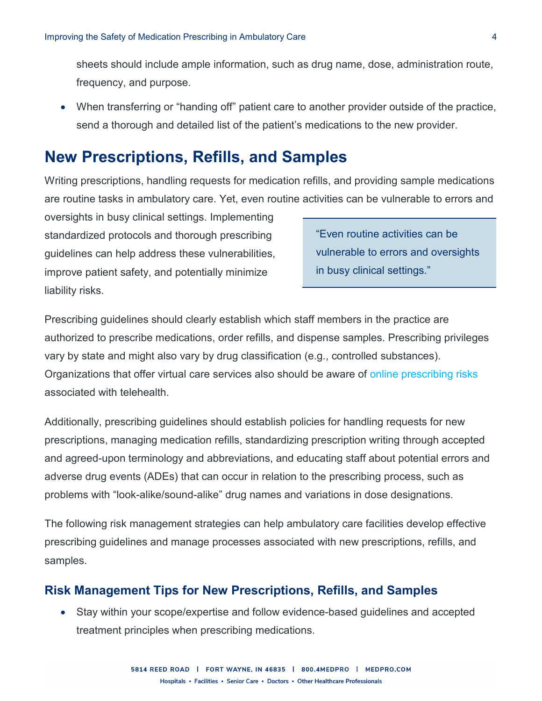sheets should include ample information, such as drug name, dose, administration route, frequency, and purpose.

• When transferring or "handing off" patient care to another provider outside of the practice, send a thorough and detailed list of the patient's medications to the new provider.

# **New Prescriptions, Refills, and Samples**

Writing prescriptions, handling requests for medication refills, and providing sample medications are routine tasks in ambulatory care. Yet, even routine activities can be vulnerable to errors and

oversights in busy clinical settings. Implementing standardized protocols and thorough prescribing guidelines can help address these vulnerabilities, improve patient safety, and potentially minimize liability risks.

"Even routine activities can be vulnerable to errors and oversights in busy clinical settings."

Prescribing guidelines should clearly establish which staff members in the practice are authorized to prescribe medications, order refills, and dispense samples. Prescribing privileges vary by state and might also vary by drug classification (e.g., controlled substances). Organizations that offer virtual care services also should be aware of online [prescribing risks](https://www.medpro.com/telehealth-onlineprescribing-risks) associated with telehealth.

Additionally, prescribing guidelines should establish policies for handling requests for new prescriptions, managing medication refills, standardizing prescription writing through accepted and agreed-upon terminology and abbreviations, and educating staff about potential errors and adverse drug events (ADEs) that can occur in relation to the prescribing process, such as problems with "look-alike/sound-alike" drug names and variations in dose designations.

The following risk management strategies can help ambulatory care facilities develop effective prescribing guidelines and manage processes associated with new prescriptions, refills, and samples.

### **Risk Management Tips for New Prescriptions, Refills, and Samples**

• Stay within your scope/expertise and follow evidence-based guidelines and accepted treatment principles when prescribing medications.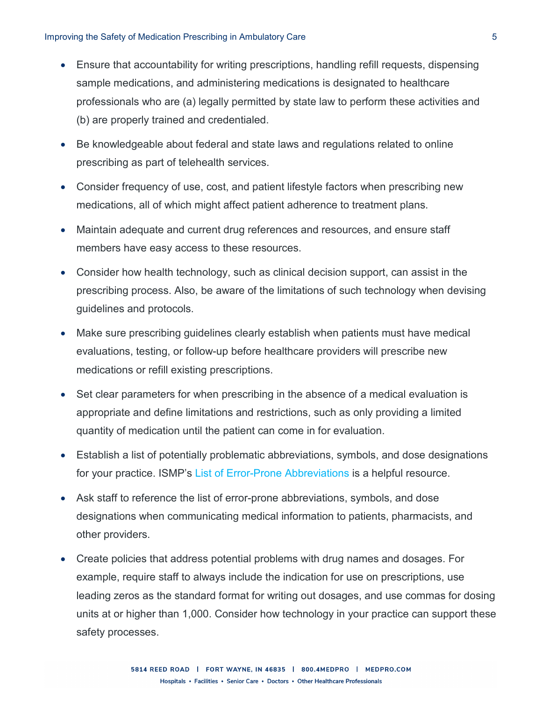- Ensure that accountability for writing prescriptions, handling refill requests, dispensing sample medications, and administering medications is designated to healthcare professionals who are (a) legally permitted by state law to perform these activities and (b) are properly trained and credentialed.
- Be knowledgeable about federal and state laws and regulations related to online prescribing as part of telehealth services.
- Consider frequency of use, cost, and patient lifestyle factors when prescribing new medications, all of which might affect patient adherence to treatment plans.
- Maintain adequate and current drug references and resources, and ensure staff members have easy access to these resources.
- Consider how health technology, such as clinical decision support, can assist in the prescribing process. Also, be aware of the limitations of such technology when devising guidelines and protocols.
- Make sure prescribing guidelines clearly establish when patients must have medical evaluations, testing, or follow-up before healthcare providers will prescribe new medications or refill existing prescriptions.
- Set clear parameters for when prescribing in the absence of a medical evaluation is appropriate and define limitations and restrictions, such as only providing a limited quantity of medication until the patient can come in for evaluation.
- Establish a list of potentially problematic abbreviations, symbols, and dose designations for your practice. ISMP's [List of Error-Prone Abbreviations](https://www.ismp.org/recommendations/error-prone-abbreviations-list) is a helpful resource.
- Ask staff to reference the list of error-prone abbreviations, symbols, and dose designations when communicating medical information to patients, pharmacists, and other providers.
- Create policies that address potential problems with drug names and dosages. For example, require staff to always include the indication for use on prescriptions, use leading zeros as the standard format for writing out dosages, and use commas for dosing units at or higher than 1,000. Consider how technology in your practice can support these safety processes.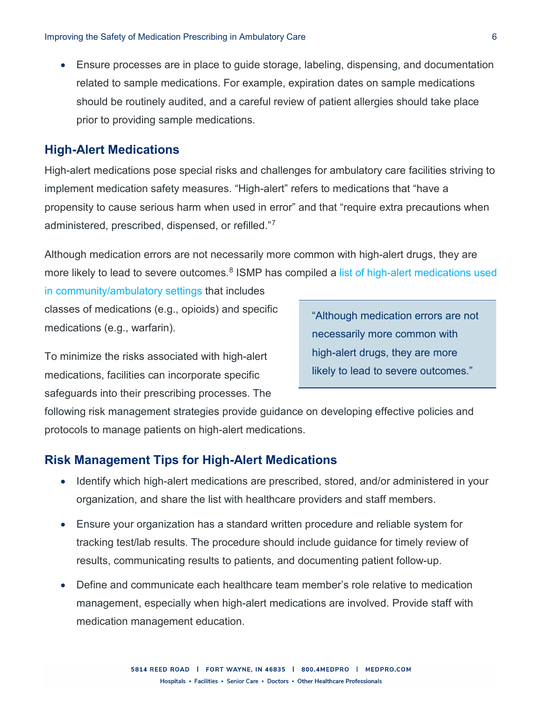• Ensure processes are in place to guide storage, labeling, dispensing, and documentation related to sample medications. For example, expiration dates on sample medications should be routinely audited, and a careful review of patient allergies should take place prior to providing sample medications.

#### **High-Alert Medications**

High-alert medications pose special risks and challenges for ambulatory care facilities striving to implement medication safety measures. "High-alert" refers to medications that "have a propensity to cause serious harm when used in error" and that "require extra precautions when administered, prescribed, dispensed, or refilled."[7](#page-8-6)

Although medication errors are not necessarily more common with high-alert drugs, they are more likely to lead to severe outcomes.<sup>[8](#page-8-7)</sup> ISMP has compiled a list of high-alert medications used

[in community/ambulatory settings](https://www.ismp.org/recommendations/high-alert-medications-community-ambulatory-list) that includes classes of medications (e.g., opioids) and specific medications (e.g., warfarin).

To minimize the risks associated with high-alert medications, facilities can incorporate specific safeguards into their prescribing processes. The "Although medication errors are not necessarily more common with high-alert drugs, they are more likely to lead to severe outcomes."

following risk management strategies provide guidance on developing effective policies and protocols to manage patients on high-alert medications.

### **Risk Management Tips for High-Alert Medications**

- Identify which high-alert medications are prescribed, stored, and/or administered in your organization, and share the list with healthcare providers and staff members.
- Ensure your organization has a standard written procedure and reliable system for tracking test/lab results. The procedure should include guidance for timely review of results, communicating results to patients, and documenting patient follow-up.
- Define and communicate each healthcare team member's role relative to medication management, especially when high-alert medications are involved. Provide staff with medication management education.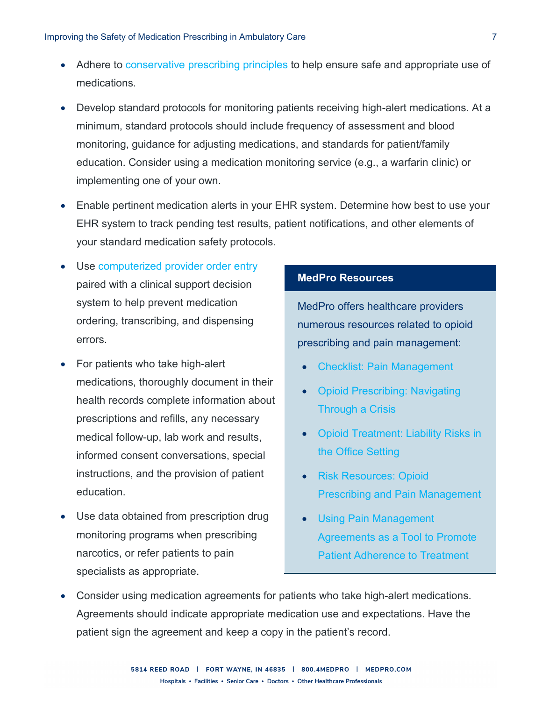- Adhere to [conservative prescribing principles](https://jamanetwork.com/journals/jamainternalmedicine/fullarticle/1105913) to help ensure safe and appropriate use of medications.
- Develop standard protocols for monitoring patients receiving high-alert medications. At a minimum, standard protocols should include frequency of assessment and blood monitoring, guidance for adjusting medications, and standards for patient/family education. Consider using a medication monitoring service (e.g., a warfarin clinic) or implementing one of your own.
- Enable pertinent medication alerts in your EHR system. Determine how best to use your EHR system to track pending test results, patient notifications, and other elements of your standard medication safety protocols.
- Use [computerized provider order entry](https://www.medpro.com/documents/10502/3667697/Risk+Tips_Computerized+Provider+Order+Entry.pdf) paired with a clinical support decision system to help prevent medication ordering, transcribing, and dispensing errors.
- For patients who take high-alert medications, thoroughly document in their health records complete information about prescriptions and refills, any necessary medical follow-up, lab work and results, informed consent conversations, special instructions, and the provision of patient education.
- Use data obtained from prescription drug monitoring programs when prescribing narcotics, or refer patients to pain specialists as appropriate.

#### **MedPro Resources**

MedPro offers healthcare providers numerous resources related to opioid prescribing and pain management:

- [Checklist: Pain Management](https://www.medpro.com/documents/10502/2899801/Checklist_Pain+Management.pdf)
- [Opioid Prescribing: Navigating](https://www.medpro.com/opioid-prescribing-risk-strategies)  [Through a Crisis](https://www.medpro.com/opioid-prescribing-risk-strategies)
- [Opioid Treatment: Liability Risks in](https://www.medpro.com/documents/10502/5086245/Opioid+Treatment+%26+Liability+Risks+in+the+Office+Setting.pdf)  [the Office Setting](https://www.medpro.com/documents/10502/5086245/Opioid+Treatment+%26+Liability+Risks+in+the+Office+Setting.pdf)
- [Risk Resources: Opioid](https://www.medpro.com/documents/10502/2824311/Risk-Resources_Opioid-Prescribing-and-Pain-Management.pdf)  [Prescribing and Pain Management](https://www.medpro.com/documents/10502/2824311/Risk-Resources_Opioid-Prescribing-and-Pain-Management.pdf)
- [Using Pain Management](https://www.medpro.com/pain-management-patient-agreements)  [Agreements as a Tool to Promote](https://www.medpro.com/pain-management-patient-agreements)  [Patient Adherence to Treatment](https://www.medpro.com/pain-management-patient-agreements)
- Consider using medication agreements for patients who take high-alert medications. Agreements should indicate appropriate medication use and expectations. Have the patient sign the agreement and keep a copy in the patient's record.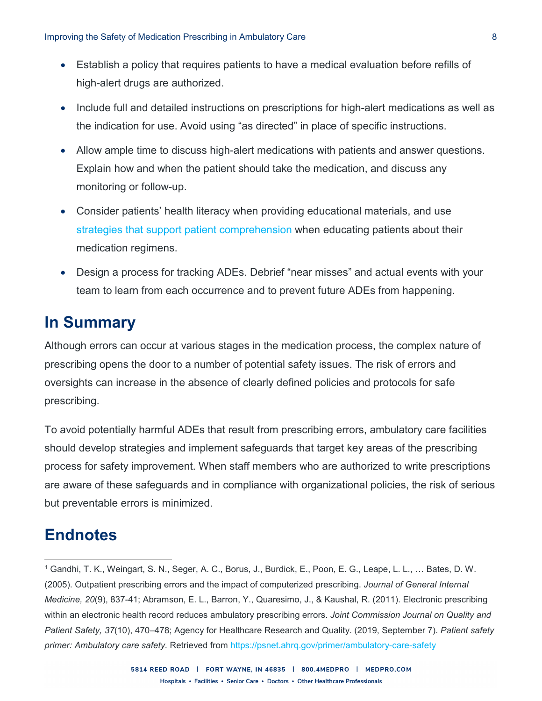- Establish a policy that requires patients to have a medical evaluation before refills of high-alert drugs are authorized.
- Include full and detailed instructions on prescriptions for high-alert medications as well as the indication for use. Avoid using "as directed" in place of specific instructions.
- Allow ample time to discuss high-alert medications with patients and answer questions. Explain how and when the patient should take the medication, and discuss any monitoring or follow-up.
- Consider patients' health literacy when providing educational materials, and use [strategies that support patient comprehension](https://www.medpro.com/documents/10502/2899801/Checklist_Patient+Comprehension.pdf) when educating patients about their medication regimens.
- Design a process for tracking ADEs. Debrief "near misses" and actual events with your team to learn from each occurrence and to prevent future ADEs from happening.

# **In Summary**

Although errors can occur at various stages in the medication process, the complex nature of prescribing opens the door to a number of potential safety issues. The risk of errors and oversights can increase in the absence of clearly defined policies and protocols for safe prescribing.

To avoid potentially harmful ADEs that result from prescribing errors, ambulatory care facilities should develop strategies and implement safeguards that target key areas of the prescribing process for safety improvement. When staff members who are authorized to write prescriptions are aware of these safeguards and in compliance with organizational policies, the risk of serious but preventable errors is minimized.

# **Endnotes**

 $\overline{a}$ 

<sup>1</sup> Gandhi, T. K., Weingart, S. N., Seger, A. C., Borus, J., Burdick, E., Poon, E. G., Leape, L. L., … Bates, D. W. (2005). Outpatient prescribing errors and the impact of computerized prescribing. *Journal of General Internal Medicine, 20*(9), 837-41; Abramson, E. L., Barron, Y., Quaresimo, J., & Kaushal, R. (2011). Electronic prescribing within an electronic health record reduces ambulatory prescribing errors. *Joint Commission Journal on Quality and Patient Safety, 37*(10), 470–478; Agency for Healthcare Research and Quality. (2019, September 7). *Patient safety primer: Ambulatory care safety.* Retrieved from<https://psnet.ahrq.gov/primer/ambulatory-care-safety>